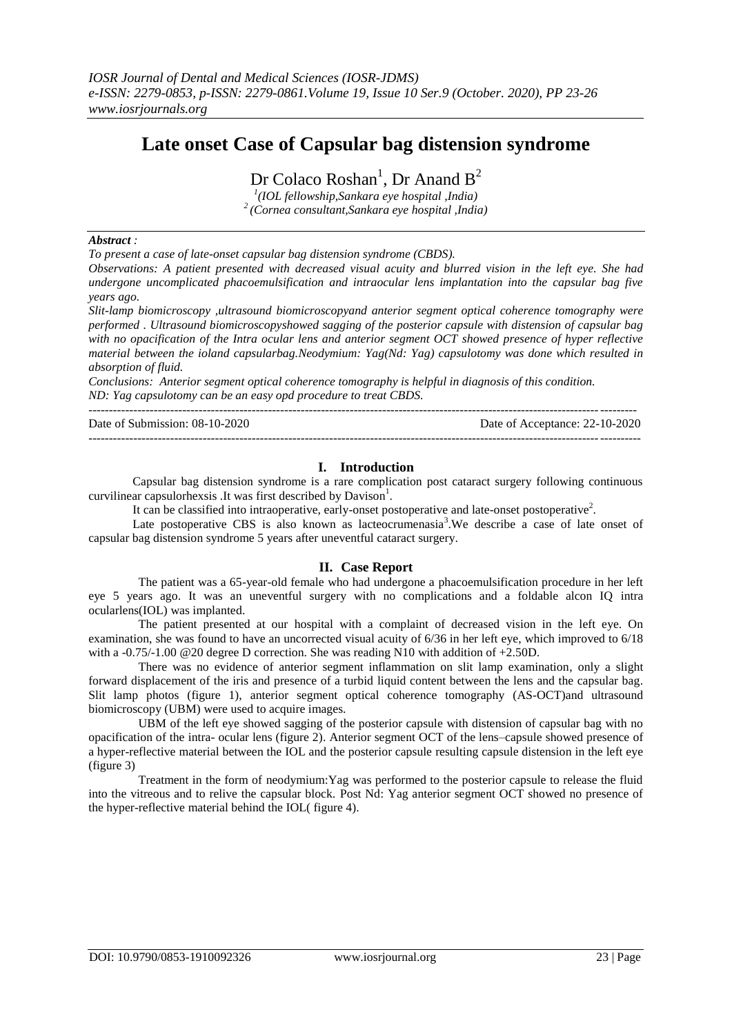# **Late onset Case of Capsular bag distension syndrome**

Dr Colaco Roshan<sup>1</sup>, Dr Anand  $B^2$ 

*1 (IOL fellowship,Sankara eye hospital ,India) <sup>2</sup>(Cornea consultant,Sankara eye hospital ,India)*

#### *Abstract :*

*To present a case of late-onset capsular bag distension syndrome (CBDS).*

*Observations: A patient presented with decreased visual acuity and blurred vision in the left eye. She had undergone uncomplicated phacoemulsification and intraocular lens implantation into the capsular bag five years ago.*

*Slit-lamp biomicroscopy ,ultrasound biomicroscopyand anterior segment optical coherence tomography were performed . Ultrasound biomicroscopyshowed sagging of the posterior capsule with distension of capsular bag with no opacification of the Intra ocular lens and anterior segment OCT showed presence of hyper reflective material between the ioland capsularbag.Neodymium: Yag(Nd: Yag) capsulotomy was done which resulted in absorption of fluid.* 

*Conclusions: Anterior segment optical coherence tomography is helpful in diagnosis of this condition. ND: Yag capsulotomy can be an easy opd procedure to treat CBDS.*

-------------------------------------------------------------------------------------------------------------------------------------- Date of Submission: 08-10-2020 Date of Acceptance: 22-10-2020 ---------------------------------------------------------------------------------------------------------------------------------------

### **I. Introduction**

Capsular bag distension syndrome is a rare complication post cataract surgery following continuous curvilinear capsulorhexsis .It was first described by Davison<sup>1</sup>.

It can be classified into intraoperative, early-onset postoperative and late-onset postoperative<sup>2</sup>.

Late postoperative CBS is also known as lacteocrumenasia<sup>3</sup>. We describe a case of late onset of capsular bag distension syndrome 5 years after uneventful cataract surgery.

#### **II. Case Report**

The patient was a 65-year-old female who had undergone a phacoemulsification procedure in her left eye 5 years ago. It was an uneventful surgery with no complications and a foldable alcon IQ intra ocularlens(IOL) was implanted.

The patient presented at our hospital with a complaint of decreased vision in the left eye. On examination, she was found to have an uncorrected visual acuity of 6/36 in her left eye, which improved to 6/18 with a -0.75/-1.00 @20 degree D correction. She was reading N10 with addition of +2.50D.

There was no evidence of anterior segment inflammation on slit lamp examination, only a slight forward displacement of the iris and presence of a turbid liquid content between the lens and the capsular bag. Slit lamp photos (figure 1), anterior segment optical coherence tomography (AS-OCT)and ultrasound biomicroscopy (UBM) were used to acquire images.

UBM of the left eye showed sagging of the posterior capsule with distension of capsular bag with no opacification of the intra- ocular lens (figure 2). Anterior segment OCT of the lens–capsule showed presence of a hyper-reflective material between the IOL and the posterior capsule resulting capsule distension in the left eye (figure 3)

Treatment in the form of neodymium:Yag was performed to the posterior capsule to release the fluid into the vitreous and to relive the capsular block. Post Nd: Yag anterior segment OCT showed no presence of the hyper-reflective material behind the IOL( figure 4).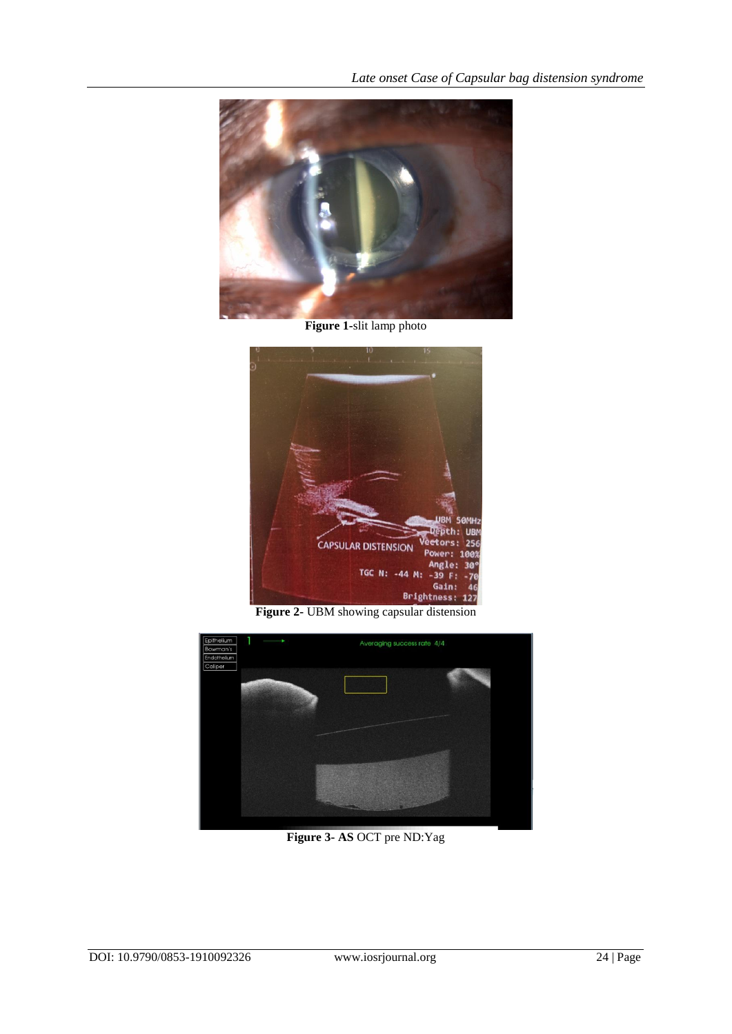

**Figure 1-**slit lamp photo



**Figure 2-** UBM showing capsular distension



**Figure 3- AS** OCT pre ND:Yag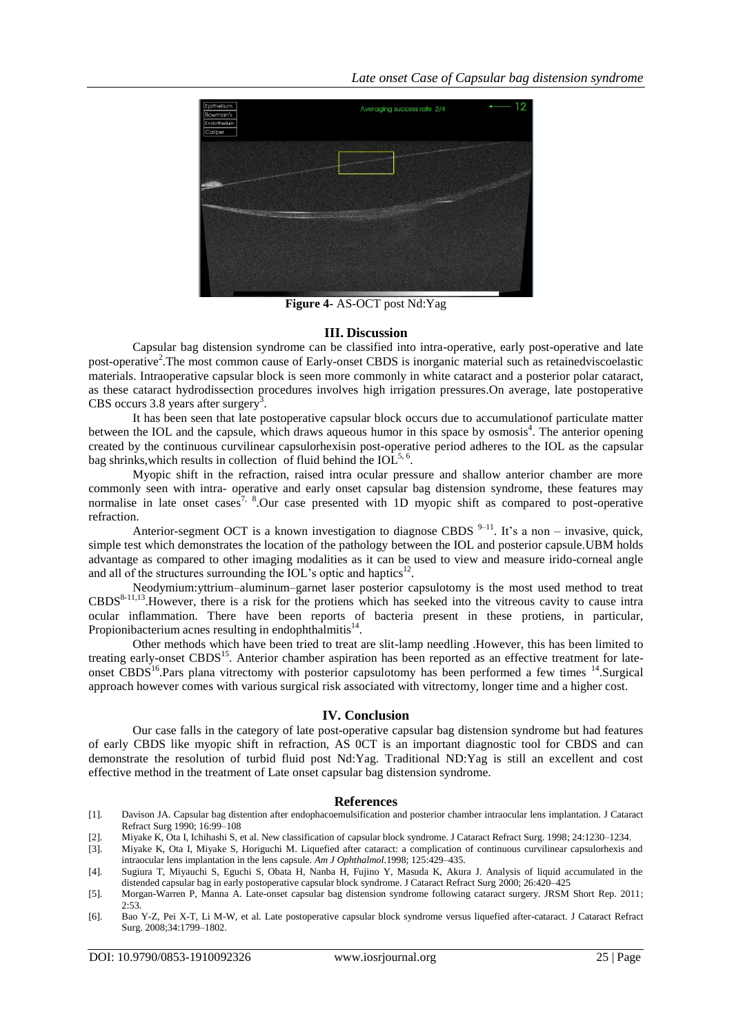

**Figure 4-** AS-OCT post Nd:Yag

## **III. Discussion**

Capsular bag distension syndrome can be classified into intra-operative, early post-operative and late post-operative<sup>2</sup>. The most common cause of Early-onset CBDS is inorganic material such as retainedviscoelastic materials. Intraoperative capsular block is seen more commonly in white cataract and a posterior polar cataract, as these cataract hydrodissection procedures involves high irrigation pressures.On average, late postoperative CBS occurs  $3.8$  years after surgery<sup>3</sup>.

It has been seen that late postoperative capsular block occurs due to accumulationof particulate matter between the IOL and the capsule, which draws aqueous humor in this space by osmosis<sup>4</sup>. The anterior opening created by the continuous curvilinear capsulorhexisin post-operative period adheres to the IOL as the capsular bag shrinks, which results in collection of fluid behind the  $IOL<sup>5,6</sup>$ .

Myopic shift in the refraction, raised intra ocular pressure and shallow anterior chamber are more commonly seen with intra- operative and early onset capsular bag distension syndrome, these features may normalise in late onset cases<sup>7, 8</sup>.Our case presented with 1D myopic shift as compared to post-operative refraction.

Anterior-segment OCT is a known investigation to diagnose CBDS  $9-11$ . It's a non – invasive, quick, simple test which demonstrates the location of the pathology between the IOL and posterior capsule.UBM holds advantage as compared to other imaging modalities as it can be used to view and measure irido-corneal angle and all of the structures surrounding the IOL's optic and haptics<sup>12</sup>.

Neodymium:yttrium–aluminum–garnet laser posterior capsulotomy is the most used method to treat CBDS<sup>8-11,13</sup>. However, there is a risk for the protiens which has seeked into the vitreous cavity to cause intra ocular inflammation. There have been reports of bacteria present in these protiens, in particular, Propionibacterium acnes resulting in endophthalmitis $^{14}$ .

Other methods which have been tried to treat are slit-lamp needling .However, this has been limited to treating early-onset CBDS<sup>15</sup>. Anterior chamber aspiration has been reported as an effective treatment for lateonset CBDS<sup>16</sup>.Pars plana vitrectomy with posterior capsulotomy has been performed a few times <sup>14</sup>.Surgical approach however comes with various surgical risk associated with vitrectomy, longer time and a higher cost.

#### **IV. Conclusion**

Our case falls in the category of late post-operative capsular bag distension syndrome but had features of early CBDS like myopic shift in refraction, AS 0CT is an important diagnostic tool for CBDS and can demonstrate the resolution of turbid fluid post Nd:Yag. Traditional ND:Yag is still an excellent and cost effective method in the treatment of Late onset capsular bag distension syndrome.

#### **References**

- [1]. Davison JA. Capsular bag distention after endophacoemulsification and posterior chamber intraocular lens implantation. J Cataract Refract Surg 1990; 16:99–108
- [2]. Miyake K, Ota I, Ichihashi S, et al. New classification of capsular block syndrome. J Cataract Refract Surg. 1998; 24:1230–1234.
- [3]. Miyake K, Ota I, Miyake S, Horiguchi M. Liquefied after cataract: a complication of continuous curvilinear capsulorhexis and intraocular lens implantation in the lens capsule. *Am J Ophthalmol*.1998; 125:429–435.
- [4]. Sugiura T, Miyauchi S, Eguchi S, Obata H, Nanba H, Fujino Y, Masuda K, Akura J. Analysis of liquid accumulated in the distended capsular bag in early postoperative capsular block syndrome. J Cataract Refract Surg 2000; 26:420–425
- [5]. Morgan-Warren P, Manna A. Late-onset capsular bag distension syndrome following cataract surgery. JRSM Short Rep. 2011; 2:53.
- [6]. Bao Y-Z, Pei X-T, Li M-W, et al. Late postoperative capsular block syndrome versus liquefied after-cataract. J Cataract Refract Surg. 2008;34:1799–1802.